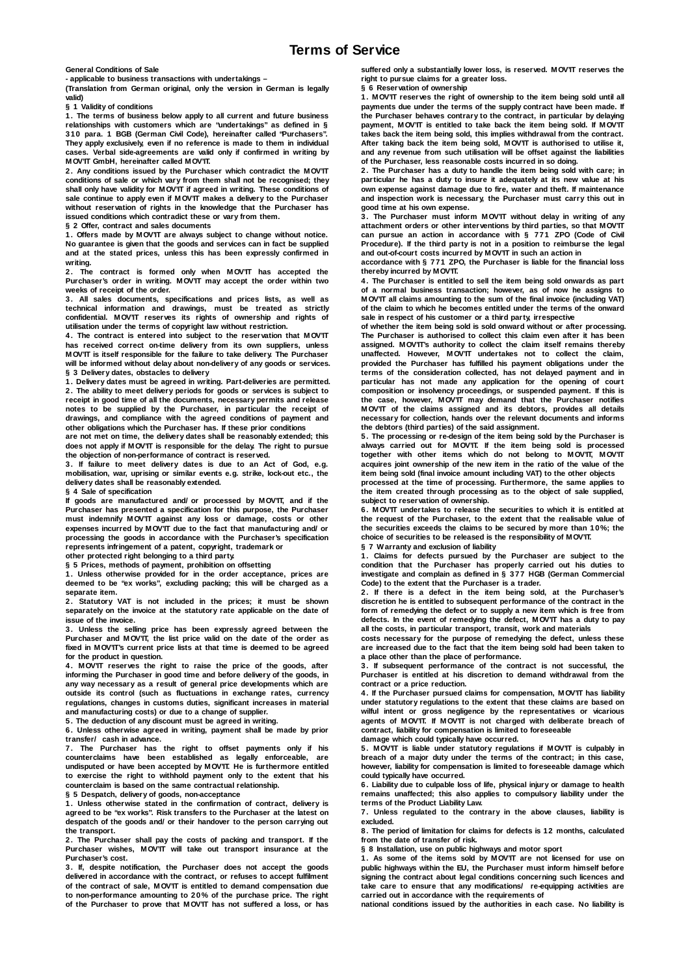**General Conditions of Sale**

**- applicable to business transactions with undertakings – (Translation from German original, only the version in German is legally valid)**

**§ 1 Validity of conditions**

**1. The terms of business below apply to all current and future business relationships with customers which are "undertakings" as defined in § 310 para. 1 BGB (German Civil Code), hereinafter called "Purchasers". They apply exclusively, even if no reference is made to them in individual cases. Verbal side-agreements are valid only if confirmed in writing by MOV'IT GmbH, hereinafter called MOV'IT.**

**2. Any conditions issued by the Purchaser which contradict the MOV'IT conditions of sale or which vary from them shall not be recognised; they**  shall only have validity for MOV<sup>7</sup>IT if agreed in writing. These conditions of sale continue to apply even if MOV'IT makes a delivery to the Purchaser **without reservation of rights in the knowledge that the Purchaser has issued conditions which contradict these or vary from them.**

**§ 2 Offer, contract and sales documents**

**1. Offers made by MOV'IT are always subject to change without notice. No guarantee is given that the goods and services can in fact be supplied and at the stated prices, unless this has been expressly confirmed in writing.**

**2. The contract is formed only when MOV'IT has accepted the Purchaser's order in writing. MOV'IT may accept the order within two weeks of receipt of the order.**

**3. All sales documents, specifications and prices lists, as well as technical information and drawings, must be treated as strictly confidential. MOV'IT reserves its rights of ownership and rights of utilisation under the terms of copyright law without restriction.**

**4. The contract is entered into subject to the reservation that MOV'IT has received correct on-time delivery from its own suppliers, unless MOV'IT is itself responsible for the failure to take delivery. The Purchaser will be informed without delay about non-delivery of any goods or services. § 3 Delivery dates, obstacles to delivery**

**1. Delivery dates must be agreed in writing. Part-deliveries are permitted. 2. The ability to meet delivery periods for goods or services is subject to receipt in good time of all the documents, necessary permits and release notes to be supplied by the Purchaser, in particular the receipt of drawings, and compliance with the agreed conditions of payment and other obligations which the Purchaser has. If these prior conditions**

**are not met on time, the delivery dates shall be reasonably extended; this does not apply if MOV'IT is responsible for the delay. The right to pursue the objection of non-performance of contract is reserved.**

**3. If failure to meet delivery dates is due to an Act of God, e.g. mobilisation, war, uprising or similar events e.g. strike, lock-out etc., the delivery dates shall be reasonably extended.**

**§ 4 Sale of specification**

**If goods are manufactured and/ or processed by MOV'IT, and if the Purchaser has presented a specification for this purpose, the Purchaser must indemnify MOV'IT against any loss or damage, costs or other expenses incurred by MOV'IT due to the fact that manufacturing and/ or processing the goods in accordance with the Purchaser's specification represents infringement of a patent, copyright, trademark or**

**other protected right belonging to a third party.**

**§ 5 Prices, methods of payment, prohibition on offsetting 1. Unless otherwise provided for in the order acceptance, prices are deemed to be "ex works", excluding packing; this will be charged as a separate item.**

**2. Statutory VAT is not included in the prices; it must be shown separately on the invoice at the statutory rate applicable on the date of issue of the invoice.**

**3. Unless the selling price has been expressly agreed between the Purchaser and MOV'IT, the list price valid on the date of the order as fixed in MOV'IT's current price lists at that time is deemed to be agreed for the product in question.**

**4. MOV'IT reserves the right to raise the price of the goods, after informing the Purchaser in good time and before delivery of the goods, in any way necessary as a result of general price developments which are outside its control (such as fluctuations in exchange rates, currency regulations, changes in customs duties, significant increases in material and manufacturing costs) or due to a change of supplier.**

**5. The deduction of any discount must be agreed in writing.**

**6. Unless otherwise agreed in writing, payment shall be made by prior transfer/ cash in advance.**

**7. The Purchaser has the right to offset payments only if his counterclaims have been established as legally enforceable, are undisputed or have been accepted by MOV'IT. He is furthermore entitled to exercise the right to withhold payment only to the extent that his counterclaim is based on the same contractual relationship.**

**§ 5 Despatch, delivery of goods, non-acceptance 1. Unless otherwise stated in the confirmation of contract, delivery is agreed to be "ex works". Risk transfers to the Purchaser at the latest on despatch of the goods and/ or their handover to the person carrying out the transport.**

**2. The Purchaser shall pay the costs of packing and transport. If the Purchaser wishes, MOV'IT will take out transport insurance at the Purchaser's cost.**

**3. If, despite notification, the Purchaser does not accept the goods delivered in accordance with the contract, or refuses to accept fulfilment of the contract of sale, MOV'IT is entitled to demand compensation due to non-performance amounting to 20% of the purchase price. The right of the Purchaser to prove that MOV'IT has not suffered a loss, or has** 

**suffered only a substantially lower loss, is reserved. MOV'IT reserves the right to pursue claims for a greater loss.**

**§ 6 Reservation of ownership 1. MOV'IT reserves the right of ownership to the item being sold until all payments due under the terms of the supply contract have been made. If the Purchaser behaves contrary to the contract, in particular by delaying**  payment, MOV'IT is entitled to take back the item being sold. If MOV'IT **takes back the item being sold, this implies withdrawal from the contract. After taking back the item being sold, MOV'IT is authorised to utilise it, and any revenue from such utilisation will be offset against the liabilities of the Purchaser, less reasonable costs incurred in so doing.**

**2. The Purchaser has a duty to handle the item being sold with care; in particular he has a duty to insure it adequately at its new value at his own expense against damage due to fire, water and theft. If maintenance and inspection work is necessary, the Purchaser must carry this out in good time at his own expense.**

**3. The Purchaser must inform MOV'IT without delay in writing of any attachment orders or other interventions by third parties, so that MOV'IT can pursue an action in accordance with § 771 ZPO (Code of Civil Procedure). If the third party is not in a position to reimburse the legal and out-of-court costs incurred by MOV'IT in such an action in**

**accordance with § 771 ZPO, the Purchaser is liable for the financial loss thereby incurred by MOV'IT.**

**4. The Purchaser is entitled to sell the item being sold onwards as part of a normal business transaction; however, as of now he assigns to MOV'IT all claims amounting to the sum of the final invoice (including VAT) of the claim to which he becomes entitled under the terms of the onward sale in respect of his customer or a third party, irrespective**

**of whether the item being sold is sold onward without or after processing. The Purchaser is authorised to collect this claim even after it has been assigned. MOV'IT's authority to collect the claim itself remains thereby unaffected. However, MOV'IT undertakes not to collect the claim, provided the Purchaser has fulfilled his payment obligations under the terms of the consideration collected, has not delayed payment and in particular has not made any application for the opening of court composition or insolvency proceedings, or suspended payment. If this is the case, however, MOV'IT may demand that the Purchaser notifies MOV'IT of the claims assigned and its debtors, provides all details necessary for collection, hands over the relevant documents and informs the debtors (third parties) of the said assignment.**

**5. The processing or re-design of the item being sold by the Purchaser is always carried out for MOV'IT. If the item being sold is processed together with other items which do not belong to MOV'IT, MOV'IT acquires joint ownership of the new item in the ratio of the value of the item being sold (final invoice amount including VAT) to the other objects**

**processed at the time of processing. Furthermore, the same applies to the item created through processing as to the object of sale supplied, subject to reservation of ownership.**

**6. MOV'IT undertakes to release the securities to which it is entitled at the request of the Purchaser, to the extent that the realisable value of the securities exceeds the claims to be secured by more than 10%; the choice of securities to be released is the responsibility of MOV'IT.**

**§ 7 Warranty and exclusion of liability 1. Claims for defects pursued by the Purchaser are subject to the condition that the Purchaser has properly carried out his duties to investigate and complain as defined in § 377 HGB (German Commercial Code) to the extent that the Purchaser is a trader.**

**2. If there is a defect in the item being sold, at the Purchaser's discretion he is entitled to subsequent performance of the contract in the form of remedying the defect or to supply a new item which is free from defects. In the event of remedying the defect, MOV'IT has a duty to pay all the costs, in particular transport, transit, work and materials**

**costs necessary for the purpose of remedying the defect, unless these are increased due to the fact that the item being sold had been taken to a place other than the place of performance.**

**3. If subsequent performance of the contract is not successful, the Purchaser is entitled at his discretion to demand withdrawal from the contract or a price reduction.**

**4. If the Purchaser pursued claims for compensation, MOV'IT has liability under statutory regulations to the extent that these claims are based on wilful intent or gross negligence by the representatives or vicarious agents of MOV'IT. If M OV'IT is not charged with deliberate breach of contract, liability for compensation is limited to foreseeable damage which could typically have occurred.**

**5. MOV'IT is liable under statutory regulations if MOV'IT is culpably in breach of a major duty under the terms of the contract; in this case, however, liability for compensation is limited to foreseeable damage which could typically have occurred.**

**6. Liability due to culpable loss of life, physical injury or damage to health remains unaffected; this also applies to compulsory liability under the terms of the Product Liability Law.**

**7. Unless regulated to the contrary in the above clauses, liability is excluded.**

**8. The period of limitation for claims for defects is 12 months, calculated from the date of transfer of risk.**

**§ 8 Installation, use on public highways and motor sport**

**1. As some of the items sold by MOV'IT are not licensed for use on public highways within the EU, the Purchaser must inform himself before signing the contract about legal conditions concerning such licences and take care to ensure that any modifications/ re-equipping activities are carried out in accordance with the requirements of**

**national conditions issued by the authorities in each case. No liability is**